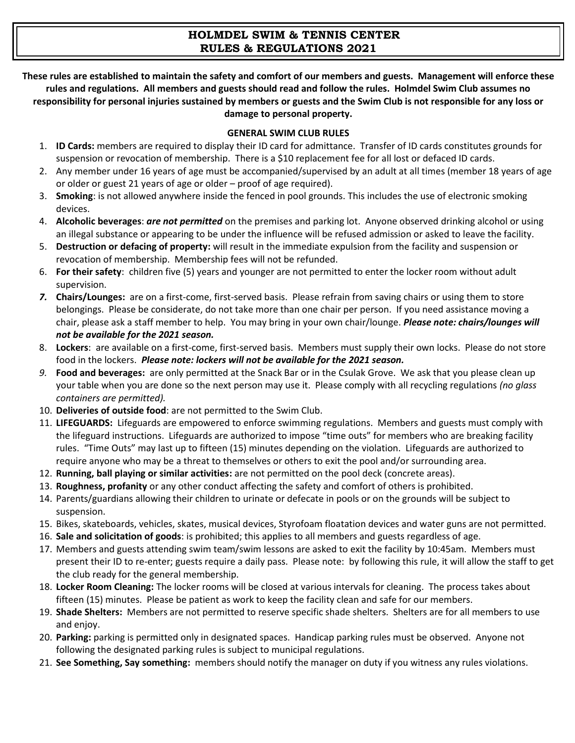# **HOLMDEL SWIM & TENNIS CENTER RULES & REGULATIONS 2021**

**These rules are established to maintain the safety and comfort of our members and guests. Management will enforce these rules and regulations. All members and guests should read and follow the rules. Holmdel Swim Club assumes no responsibility for personal injuries sustained by members or guests and the Swim Club is not responsible for any loss or damage to personal property.**

#### **GENERAL SWIM CLUB RULES**

- 1. **ID Cards:** members are required to display their ID card for admittance. Transfer of ID cards constitutes grounds for suspension or revocation of membership. There is a \$10 replacement fee for all lost or defaced ID cards.
- 2. Any member under 16 years of age must be accompanied/supervised by an adult at all times (member 18 years of age or older or guest 21 years of age or older – proof of age required).
- 3. **Smoking**: is not allowed anywhere inside the fenced in pool grounds. This includes the use of electronic smoking devices.
- 4. **Alcoholic beverages**: *are not permitted* on the premises and parking lot. Anyone observed drinking alcohol or using an illegal substance or appearing to be under the influence will be refused admission or asked to leave the facility.
- 5. **Destruction or defacing of property:** will result in the immediate expulsion from the facility and suspension or revocation of membership. Membership fees will not be refunded.
- 6. **For their safety**: children five (5) years and younger are not permitted to enter the locker room without adult supervision.
- *7.* **Chairs/Lounges:** are on a first-come, first-served basis. Please refrain from saving chairs or using them to store belongings. Please be considerate, do not take more than one chair per person. If you need assistance moving a chair, please ask a staff member to help. You may bring in your own chair/lounge. *Please note: chairs/lounges will not be available for the 2021 season.*
- 8. **Lockers**: are available on a first-come, first-served basis. Members must supply their own locks. Please do not store food in the lockers. *Please note: lockers will not be available for the 2021 season.*
- *9.* **Food and beverages:** are only permitted at the Snack Bar or in the Csulak Grove. We ask that you please clean up your table when you are done so the next person may use it. Please comply with all recycling regulations *(no glass containers are permitted).*
- 10. **Deliveries of outside food**: are not permitted to the Swim Club.
- 11. **LIFEGUARDS:** Lifeguards are empowered to enforce swimming regulations. Members and guests must comply with the lifeguard instructions. Lifeguards are authorized to impose "time outs" for members who are breaking facility rules. "Time Outs" may last up to fifteen (15) minutes depending on the violation. Lifeguards are authorized to require anyone who may be a threat to themselves or others to exit the pool and/or surrounding area.
- 12. **Running, ball playing or similar activities:** are not permitted on the pool deck (concrete areas).
- 13. **Roughness, profanity** or any other conduct affecting the safety and comfort of others is prohibited.
- 14. Parents/guardians allowing their children to urinate or defecate in pools or on the grounds will be subject to suspension.
- 15. Bikes, skateboards, vehicles, skates, musical devices, Styrofoam floatation devices and water guns are not permitted.
- 16. **Sale and solicitation of goods**: is prohibited; this applies to all members and guests regardless of age.
- 17. Members and guests attending swim team/swim lessons are asked to exit the facility by 10:45am. Members must present their ID to re-enter; guests require a daily pass. Please note: by following this rule, it will allow the staff to get the club ready for the general membership.
- 18. **Locker Room Cleaning:** The locker rooms will be closed at various intervals for cleaning. The process takes about fifteen (15) minutes. Please be patient as work to keep the facility clean and safe for our members.
- 19. **Shade Shelters:** Members are not permitted to reserve specific shade shelters. Shelters are for all members to use and enjoy.
- 20. **Parking:** parking is permitted only in designated spaces. Handicap parking rules must be observed. Anyone not following the designated parking rules is subject to municipal regulations.
- 21. **See Something, Say something:** members should notify the manager on duty if you witness any rules violations.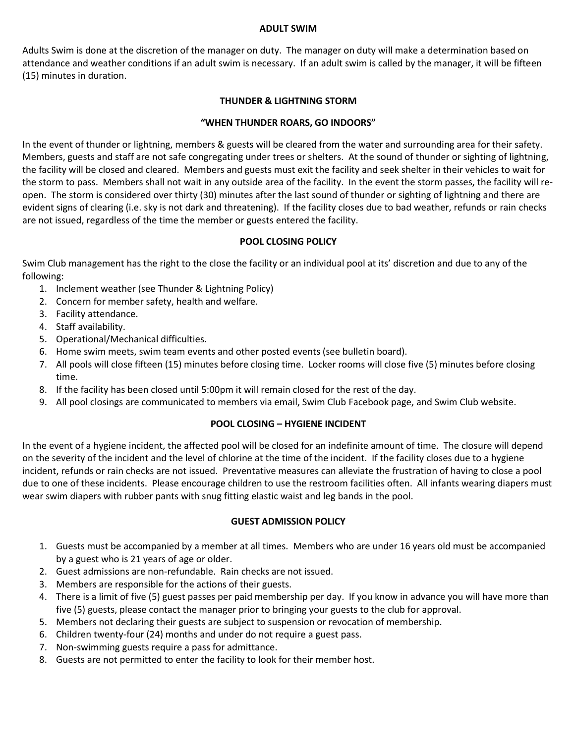#### **ADULT SWIM**

Adults Swim is done at the discretion of the manager on duty. The manager on duty will make a determination based on attendance and weather conditions if an adult swim is necessary. If an adult swim is called by the manager, it will be fifteen (15) minutes in duration.

### **THUNDER & LIGHTNING STORM**

### **"WHEN THUNDER ROARS, GO INDOORS"**

In the event of thunder or lightning, members & guests will be cleared from the water and surrounding area for their safety. Members, guests and staff are not safe congregating under trees or shelters. At the sound of thunder or sighting of lightning, the facility will be closed and cleared. Members and guests must exit the facility and seek shelter in their vehicles to wait for the storm to pass. Members shall not wait in any outside area of the facility. In the event the storm passes, the facility will reopen. The storm is considered over thirty (30) minutes after the last sound of thunder or sighting of lightning and there are evident signs of clearing (i.e. sky is not dark and threatening). If the facility closes due to bad weather, refunds or rain checks are not issued, regardless of the time the member or guests entered the facility.

#### **POOL CLOSING POLICY**

Swim Club management has the right to the close the facility or an individual pool at its' discretion and due to any of the following:

- 1. Inclement weather (see Thunder & Lightning Policy)
- 2. Concern for member safety, health and welfare.
- 3. Facility attendance.
- 4. Staff availability.
- 5. Operational/Mechanical difficulties.
- 6. Home swim meets, swim team events and other posted events (see bulletin board).
- 7. All pools will close fifteen (15) minutes before closing time. Locker rooms will close five (5) minutes before closing time.
- 8. If the facility has been closed until 5:00pm it will remain closed for the rest of the day.
- 9. All pool closings are communicated to members via email, Swim Club Facebook page, and Swim Club website.

### **POOL CLOSING – HYGIENE INCIDENT**

In the event of a hygiene incident, the affected pool will be closed for an indefinite amount of time. The closure will depend on the severity of the incident and the level of chlorine at the time of the incident. If the facility closes due to a hygiene incident, refunds or rain checks are not issued. Preventative measures can alleviate the frustration of having to close a pool due to one of these incidents. Please encourage children to use the restroom facilities often. All infants wearing diapers must wear swim diapers with rubber pants with snug fitting elastic waist and leg bands in the pool.

#### **GUEST ADMISSION POLICY**

- 1. Guests must be accompanied by a member at all times. Members who are under 16 years old must be accompanied by a guest who is 21 years of age or older.
- 2. Guest admissions are non-refundable. Rain checks are not issued.
- 3. Members are responsible for the actions of their guests.
- 4. There is a limit of five (5) guest passes per paid membership per day. If you know in advance you will have more than five (5) guests, please contact the manager prior to bringing your guests to the club for approval.
- 5. Members not declaring their guests are subject to suspension or revocation of membership.
- 6. Children twenty-four (24) months and under do not require a guest pass.
- 7. Non-swimming guests require a pass for admittance.
- 8. Guests are not permitted to enter the facility to look for their member host.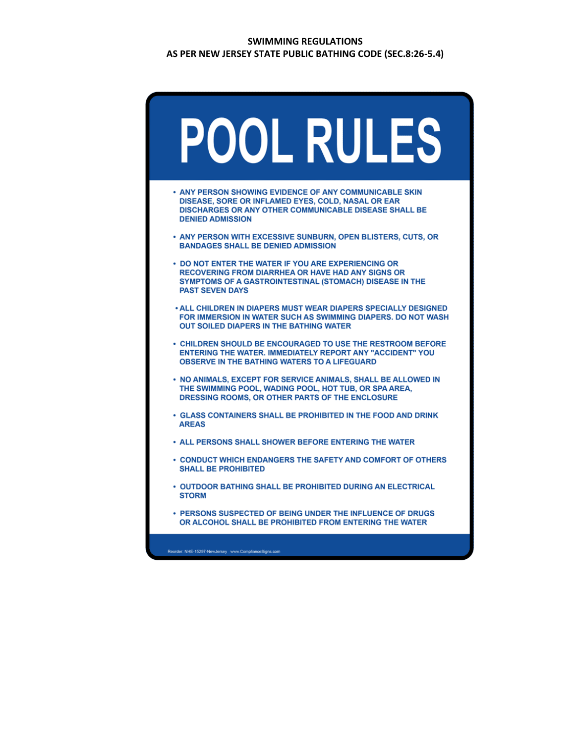### **SWIMMING REGULATIONS AS PER NEW JERSEY STATE PUBLIC BATHING CODE (SEC.8:26-5.4)**

| POOL RULES                                                                                                                                                                                                  |
|-------------------------------------------------------------------------------------------------------------------------------------------------------------------------------------------------------------|
| • ANY PERSON SHOWING EVIDENCE OF ANY COMMUNICABLE SKIN<br>DISEASE, SORE OR INFLAMED EYES, COLD, NASAL OR EAR<br>DISCHARGES OR ANY OTHER COMMUNICABLE DISEASE SHALL BE<br><b>DENIED ADMISSION</b>            |
| • ANY PERSON WITH EXCESSIVE SUNBURN, OPEN BLISTERS, CUTS, OR<br><b>BANDAGES SHALL BE DENIED ADMISSION</b>                                                                                                   |
| • DO NOT ENTER THE WATER IF YOU ARE EXPERIENCING OR<br><b>RECOVERING FROM DIARRHEA OR HAVE HAD ANY SIGNS OR</b><br><b>SYMPTOMS OF A GASTROINTESTINAL (STOMACH) DISEASE IN THE</b><br><b>PAST SEVEN DAYS</b> |
| • ALL CHILDREN IN DIAPERS MUST WEAR DIAPERS SPECIALLY DESIGNED<br>FOR IMMERSION IN WATER SUCH AS SWIMMING DIAPERS. DO NOT WASH<br><b>OUT SOILED DIAPERS IN THE BATHING WATER</b>                            |
| • CHILDREN SHOULD BE ENCOURAGED TO USE THE RESTROOM BEFORE<br><b>ENTERING THE WATER. IMMEDIATELY REPORT ANY "ACCIDENT" YOU</b><br><b>OBSERVE IN THE BATHING WATERS TO A LIFEGUARD</b>                       |
| • NO ANIMALS, EXCEPT FOR SERVICE ANIMALS, SHALL BE ALLOWED IN<br>THE SWIMMING POOL, WADING POOL, HOT TUB, OR SPA AREA,<br>DRESSING ROOMS, OR OTHER PARTS OF THE ENCLOSURE                                   |
| • GLASS CONTAINERS SHALL BE PROHIBITED IN THE FOOD AND DRINK<br><b>AREAS</b>                                                                                                                                |
| <b>• ALL PERSONS SHALL SHOWER BEFORE ENTERING THE WATER</b>                                                                                                                                                 |
| • CONDUCT WHICH ENDANGERS THE SAFETY AND COMFORT OF OTHERS<br><b>SHALL BE PROHIBITED</b>                                                                                                                    |
| • OUTDOOR BATHING SHALL BE PROHIBITED DURING AN ELECTRICAL<br><b>STORM</b>                                                                                                                                  |
| • PERSONS SUSPECTED OF BEING UNDER THE INFLUENCE OF DRUGS<br>OR ALCOHOL SHALL BE PROHIBITED FROM ENTERING THE WATER                                                                                         |
| Reorder: NHE-15297-NewJersey www.ComplianceSigns.com                                                                                                                                                        |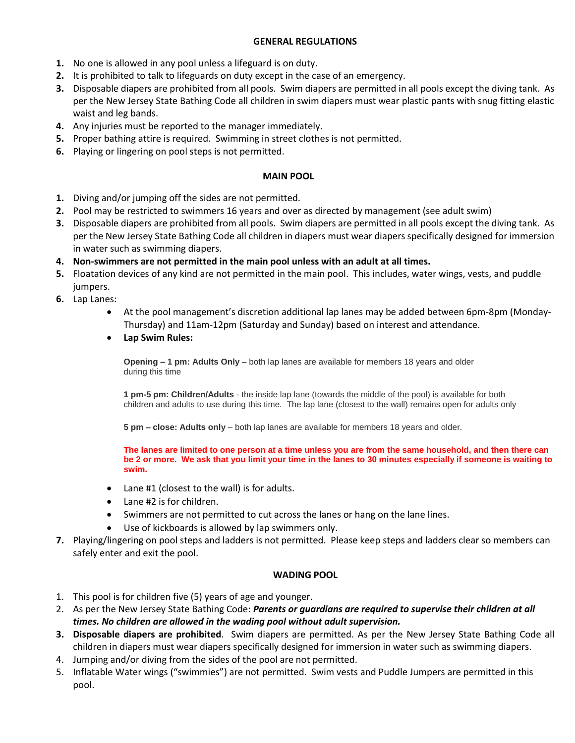### **GENERAL REGULATIONS**

- **1.** No one is allowed in any pool unless a lifeguard is on duty.
- **2.** It is prohibited to talk to lifeguards on duty except in the case of an emergency.
- **3.** Disposable diapers are prohibited from all pools. Swim diapers are permitted in all pools except the diving tank. As per the New Jersey State Bathing Code all children in swim diapers must wear plastic pants with snug fitting elastic waist and leg bands.
- **4.** Any injuries must be reported to the manager immediately.
- **5.** Proper bathing attire is required. Swimming in street clothes is not permitted.
- **6.** Playing or lingering on pool steps is not permitted.

#### **MAIN POOL**

- **1.** Diving and/or jumping off the sides are not permitted.
- **2.** Pool may be restricted to swimmers 16 years and over as directed by management (see adult swim)
- **3.** Disposable diapers are prohibited from all pools. Swim diapers are permitted in all pools except the diving tank. As per the New Jersey State Bathing Code all children in diapers must wear diapers specifically designed for immersion in water such as swimming diapers.
- **4. Non-swimmers are not permitted in the main pool unless with an adult at all times.**
- **5.** Floatation devices of any kind are not permitted in the main pool. This includes, water wings, vests, and puddle jumpers.
- **6.** Lap Lanes:
	- At the pool management's discretion additional lap lanes may be added between 6pm-8pm (Monday-Thursday) and 11am-12pm (Saturday and Sunday) based on interest and attendance.
	- **Lap Swim Rules:**

**Opening – 1 pm: Adults Only** – both lap lanes are available for members 18 years and older during this time

**1 pm-5 pm: Children/Adults** - the inside lap lane (towards the middle of the pool) is available for both children and adults to use during this time. The lap lane (closest to the wall) remains open for adults only

**5 pm – close: Adults only** – both lap lanes are available for members 18 years and older.

**The lanes are limited to one person at a time unless you are from the same household, and then there can be 2 or more. We ask that you limit your time in the lanes to 30 minutes especially if someone is waiting to swim.**

- Lane #1 (closest to the wall) is for adults.
- Lane #2 is for children.
- Swimmers are not permitted to cut across the lanes or hang on the lane lines.
- Use of kickboards is allowed by lap swimmers only.
- **7.** Playing/lingering on pool steps and ladders is not permitted. Please keep steps and ladders clear so members can safely enter and exit the pool.

#### **WADING POOL**

- 1. This pool is for children five (5) years of age and younger.
- 2. As per the New Jersey State Bathing Code: *Parents or guardians are required to supervise their children at all times. No children are allowed in the wading pool without adult supervision.*
- **3. Disposable diapers are prohibited**. Swim diapers are permitted. As per the New Jersey State Bathing Code all children in diapers must wear diapers specifically designed for immersion in water such as swimming diapers.
- 4. Jumping and/or diving from the sides of the pool are not permitted.
- 5. Inflatable Water wings ("swimmies") are not permitted. Swim vests and Puddle Jumpers are permitted in this pool.